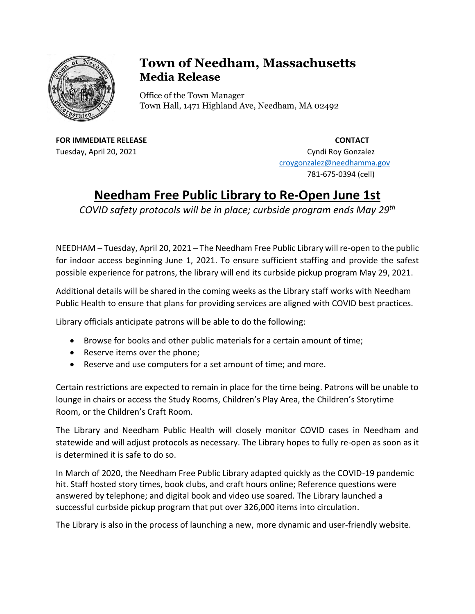

## **Town of Needham, Massachusetts Media Release**

Office of the Town Manager Town Hall, 1471 Highland Ave, Needham, MA 02492

**FOR IMMEDIATE RELEASE CONTACT** Tuesday, April 20, 2021 **Cyndi Roy Gonzalez** Cyndi Roy Gonzalez

[croygonzalez@needhamma.gov](mailto:croygonzalez@needhamma.gov)

781-675-0394 (cell)

## **Needham Free Public Library to Re-Open June 1st**

*COVID safety protocols will be in place; curbside program ends May 29th*

NEEDHAM – Tuesday, April 20, 2021 – The Needham Free Public Library will re-open to the public for indoor access beginning June 1, 2021. To ensure sufficient staffing and provide the safest possible experience for patrons, the library will end its curbside pickup program May 29, 2021.

Additional details will be shared in the coming weeks as the Library staff works with Needham Public Health to ensure that plans for providing services are aligned with COVID best practices.

Library officials anticipate patrons will be able to do the following:

- Browse for books and other public materials for a certain amount of time;
- Reserve items over the phone;
- Reserve and use computers for a set amount of time; and more.

Certain restrictions are expected to remain in place for the time being. Patrons will be unable to lounge in chairs or access the Study Rooms, Children's Play Area, the Children's Storytime Room, or the Children's Craft Room.

The Library and Needham Public Health will closely monitor COVID cases in Needham and statewide and will adjust protocols as necessary. The Library hopes to fully re-open as soon as it is determined it is safe to do so.

In March of 2020, the Needham Free Public Library adapted quickly as the COVID-19 pandemic hit. Staff hosted story times, book clubs, and craft hours online; Reference questions were answered by telephone; and digital book and video use soared. The Library launched a successful curbside pickup program that put over 326,000 items into circulation.

The Library is also in the process of launching a new, more dynamic and user-friendly website.